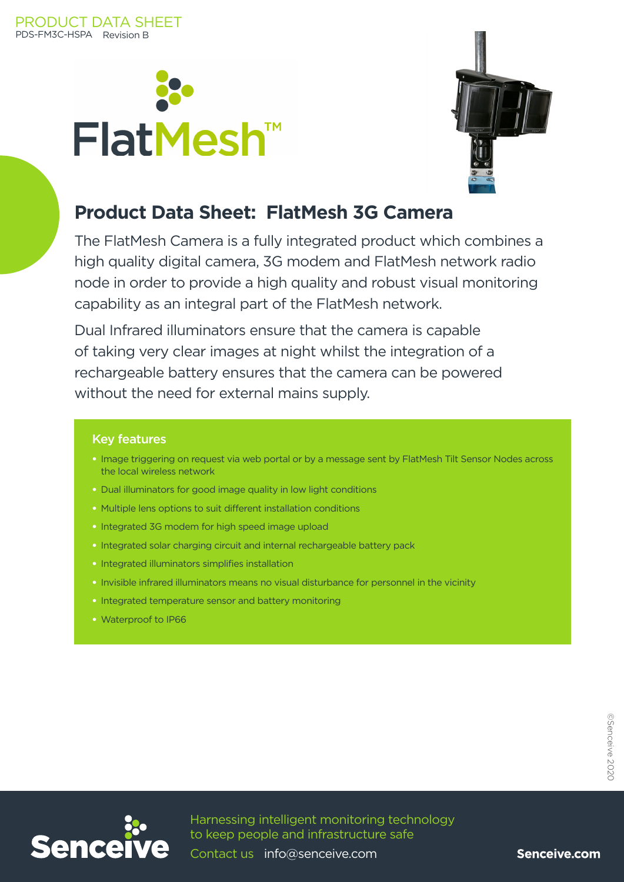



### **Product Data Sheet: FlatMesh 3G Camera**

The FlatMesh Camera is a fully integrated product which combines a high quality digital camera, 3G modem and FlatMesh network radio node in order to provide a high quality and robust visual monitoring capability as an integral part of the FlatMesh network.

Dual Infrared illuminators ensure that the camera is capable of taking very clear images at night whilst the integration of a rechargeable battery ensures that the camera can be powered without the need for external mains supply.

#### Key features

- Image triggering on request via web portal or by a message sent by FlatMesh Tilt Sensor Nodes across the local wireless network
- Dual illuminators for good image quality in low light conditions
- Multiple lens options to suit different installation conditions
- Integrated 3G modem for high speed image upload
- Integrated solar charging circuit and internal rechargeable battery pack
- Integrated illuminators simplifies installation
- Invisible infrared illuminators means no visual disturbance for personnel in the vicinity
- Integrated temperature sensor and battery monitoring
- Waterproof to IP66



Contact us info@senceive.com

Senceive.com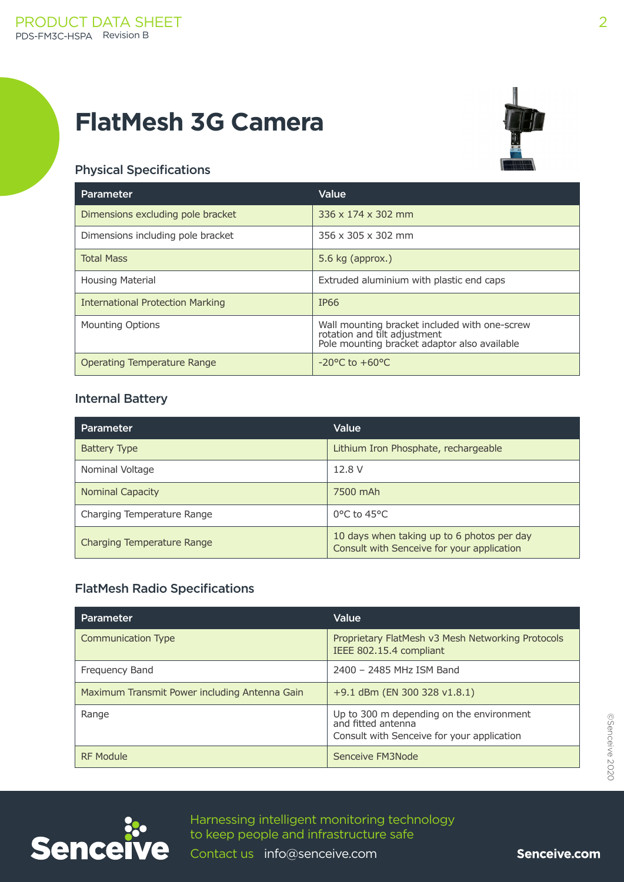# **FlatMesh 3G Camera**



### Physical Specifications

| <b>Parameter</b>                        | Value                                                                                                                         |
|-----------------------------------------|-------------------------------------------------------------------------------------------------------------------------------|
| Dimensions excluding pole bracket       | 336 x 174 x 302 mm                                                                                                            |
| Dimensions including pole bracket       | 356 x 305 x 302 mm                                                                                                            |
| <b>Total Mass</b>                       | 5.6 kg $\left($ approx. $\right)$                                                                                             |
| <b>Housing Material</b>                 | Extruded aluminium with plastic end caps                                                                                      |
| <b>International Protection Marking</b> | IP <sub>66</sub>                                                                                                              |
| <b>Mounting Options</b>                 | Wall mounting bracket included with one-screw<br>rotation and tilt adjustment<br>Pole mounting bracket adaptor also available |
| Operating Temperature Range             | $-20^{\circ}$ C to $+60^{\circ}$ C                                                                                            |

#### Internal Battery

| <b>Parameter</b>           | Value                                                                                    |
|----------------------------|------------------------------------------------------------------------------------------|
| <b>Battery Type</b>        | Lithium Iron Phosphate, rechargeable                                                     |
| Nominal Voltage            | 12.8 V                                                                                   |
| <b>Nominal Capacity</b>    | 7500 mAh                                                                                 |
| Charging Temperature Range | $0^{\circ}$ C to 45 $^{\circ}$ C                                                         |
| Charging Temperature Range | 10 days when taking up to 6 photos per day<br>Consult with Senceive for your application |

### FlatMesh Radio Specifications

| Parameter                                     | Value                                                                                                        |
|-----------------------------------------------|--------------------------------------------------------------------------------------------------------------|
| Communication Type                            | Proprietary FlatMesh v3 Mesh Networking Protocols<br>IEEE 802.15.4 compliant                                 |
| Frequency Band                                | 2400 - 2485 MHz ISM Band                                                                                     |
| Maximum Transmit Power including Antenna Gain | $+9.1$ dBm (EN 300 328 v1.8.1)                                                                               |
| Range                                         | Up to 300 m depending on the environment<br>and fitted antenna<br>Consult with Senceive for your application |
| <b>RF Module</b>                              | Senceive FM3Node                                                                                             |





Harnessing intelligent monitoring technology to keep people and infrastructure safe

Contact us info@senceive.com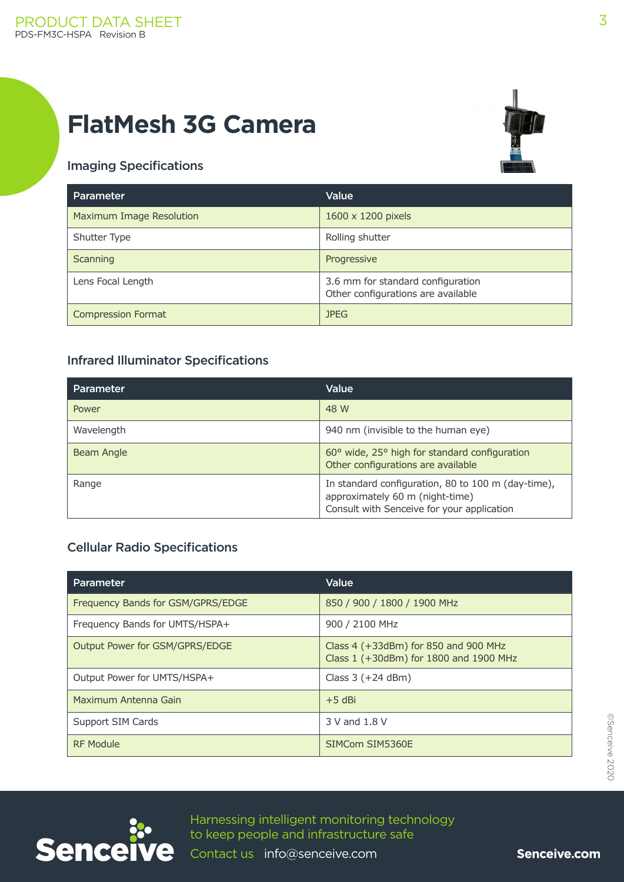# **FlatMesh 3G Camera**



### Imaging Specifications

| Parameter                 | Value                                                                   |
|---------------------------|-------------------------------------------------------------------------|
| Maximum Image Resolution  | 1600 x 1200 pixels                                                      |
| Shutter Type              | Rolling shutter                                                         |
| Scanning                  | Progressive                                                             |
| Lens Focal Length         | 3.6 mm for standard configuration<br>Other configurations are available |
| <b>Compression Format</b> | <b>JPEG</b>                                                             |

### Infrared Illuminator Specifications

| <b>Parameter</b> | Value                                                                                                                               |
|------------------|-------------------------------------------------------------------------------------------------------------------------------------|
| Power            | 48 W                                                                                                                                |
| Wavelength       | 940 nm (invisible to the human eye)                                                                                                 |
| Beam Angle       | 60° wide, 25° high for standard configuration<br>Other configurations are available                                                 |
| Range            | In standard configuration, 80 to 100 m (day-time),<br>approximately 60 m (night-time)<br>Consult with Senceive for your application |

#### Cellular Radio Specifications

| <b>Parameter</b>                  | Value                                                                                |
|-----------------------------------|--------------------------------------------------------------------------------------|
| Frequency Bands for GSM/GPRS/EDGE | 850 / 900 / 1800 / 1900 MHz                                                          |
| Frequency Bands for UMTS/HSPA+    | 900 / 2100 MHz                                                                       |
| Output Power for GSM/GPRS/EDGE    | Class $4$ ( $+33$ dBm) for 850 and 900 MHz<br>Class 1 (+30dBm) for 1800 and 1900 MHz |
| Output Power for UMTS/HSPA+       | Class $3 (+24 dBm)$                                                                  |
| Maximum Antenna Gain              | $+5$ dBi                                                                             |
| Support SIM Cards                 | 3 V and 1.8 V                                                                        |
| <b>RF Module</b>                  | SIMCom SIM5360E                                                                      |



Harnessing intelligent monitoring technology to keep people and infrastructure safe

Contact us info@senceive.com

Senceive.com